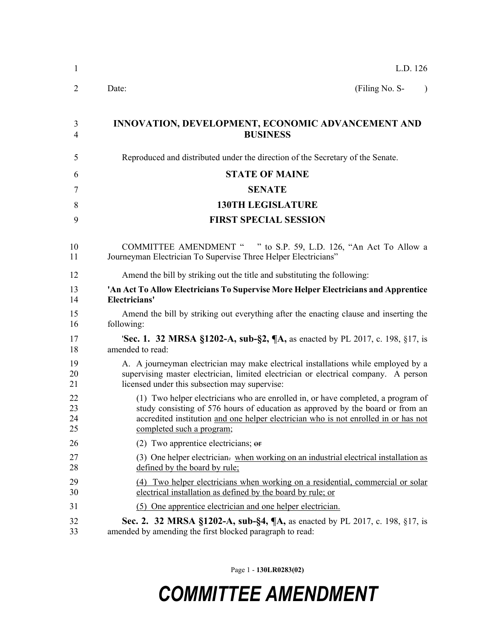| $\mathbf{1}$         | L.D. 126                                                                                                                                                                                                                                                                               |
|----------------------|----------------------------------------------------------------------------------------------------------------------------------------------------------------------------------------------------------------------------------------------------------------------------------------|
| 2                    | (Filing No. S-<br>Date:<br>$\lambda$                                                                                                                                                                                                                                                   |
| 3<br>4               | <b>INNOVATION, DEVELOPMENT, ECONOMIC ADVANCEMENT AND</b><br><b>BUSINESS</b>                                                                                                                                                                                                            |
| 5                    | Reproduced and distributed under the direction of the Secretary of the Senate.                                                                                                                                                                                                         |
| 6                    | <b>STATE OF MAINE</b>                                                                                                                                                                                                                                                                  |
| 7                    | <b>SENATE</b>                                                                                                                                                                                                                                                                          |
| 8                    | <b>130TH LEGISLATURE</b>                                                                                                                                                                                                                                                               |
| 9                    | <b>FIRST SPECIAL SESSION</b>                                                                                                                                                                                                                                                           |
| 10<br>11             | COMMITTEE AMENDMENT " " to S.P. 59, L.D. 126, "An Act To Allow a<br>Journeyman Electrician To Supervise Three Helper Electricians"                                                                                                                                                     |
| 12                   | Amend the bill by striking out the title and substituting the following:                                                                                                                                                                                                               |
| 13<br>14             | 'An Act To Allow Electricians To Supervise More Helper Electricians and Apprentice<br>Electricians'                                                                                                                                                                                    |
| 15<br>16             | Amend the bill by striking out everything after the enacting clause and inserting the<br>following:                                                                                                                                                                                    |
| 17<br>18             | <b>Sec. 1. 32 MRSA §1202-A, sub-§2, ¶A, as enacted by PL 2017, c. 198, §17, is</b><br>amended to read:                                                                                                                                                                                 |
| 19<br>20<br>21       | A. A journeyman electrician may make electrical installations while employed by a<br>supervising master electrician, limited electrician or electrical company. A person<br>licensed under this subsection may supervise:                                                              |
| 22<br>23<br>24<br>25 | (1) Two helper electricians who are enrolled in, or have completed, a program of<br>study consisting of 576 hours of education as approved by the board or from an<br>accredited institution and one helper electrician who is not enrolled in or has not<br>completed such a program; |
| 26                   | (2) Two apprentice electricians; $\theta$                                                                                                                                                                                                                                              |
| 27<br>28             | (3) One helper electrician. when working on an industrial electrical installation as<br>defined by the board by rule;                                                                                                                                                                  |
| 29<br>30             | (4) Two helper electricians when working on a residential, commercial or solar<br>electrical installation as defined by the board by rule; or                                                                                                                                          |
| 31                   | (5) One apprentice electrician and one helper electrician.                                                                                                                                                                                                                             |
| 32<br>33             | Sec. 2. 32 MRSA §1202-A, sub-§4, ¶A, as enacted by PL 2017, c. 198, §17, is<br>amended by amending the first blocked paragraph to read:                                                                                                                                                |
|                      |                                                                                                                                                                                                                                                                                        |

Page 1 - **130LR0283(02)**

## *COMMITTEE AMENDMENT*